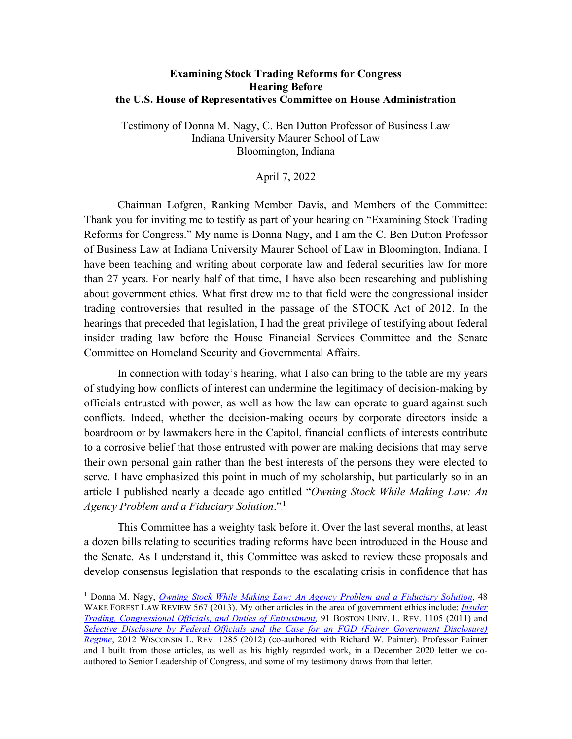#### **Examining Stock Trading Reforms for Congress Hearing Before the U.S. House of Representatives Committee on House Administration**

Testimony of Donna M. Nagy, C. Ben Dutton Professor of Business Law Indiana University Maurer School of Law Bloomington, Indiana

#### April 7, 2022

Chairman Lofgren, Ranking Member Davis, and Members of the Committee: Thank you for inviting me to testify as part of your hearing on "Examining Stock Trading Reforms for Congress." My name is Donna Nagy, and I am the C. Ben Dutton Professor of Business Law at Indiana University Maurer School of Law in Bloomington, Indiana. I have been teaching and writing about corporate law and federal securities law for more than 27 years. For nearly half of that time, I have also been researching and publishing about government ethics. What first drew me to that field were the congressional insider trading controversies that resulted in the passage of the STOCK Act of 2012. In the hearings that preceded that legislation, I had the great privilege of testifying about federal insider trading law before the House Financial Services Committee and the Senate Committee on Homeland Security and Governmental Affairs.

In connection with today's hearing, what I also can bring to the table are my years of studying how conflicts of interest can undermine the legitimacy of decision-making by officials entrusted with power, as well as how the law can operate to guard against such conflicts. Indeed, whether the decision-making occurs by corporate directors inside a boardroom or by lawmakers here in the Capitol, financial conflicts of interests contribute to a corrosive belief that those entrusted with power are making decisions that may serve their own personal gain rather than the best interests of the persons they were elected to serve. I have emphasized this point in much of my scholarship, but particularly so in an article I published nearly a decade ago entitled "*Owning Stock While Making Law: An*  Agency Problem and a Fiduciary Solution."<sup>1</sup>

This Committee has a weighty task before it. Over the last several months, at least a dozen bills relating to securities trading reforms have been introduced in the House and the Senate. As I understand it, this Committee was asked to review these proposals and develop consensus legislation that responds to the escalating crisis in confidence that has

<sup>1</sup> Donna M. Nagy, *[Owning Stock While Making Law: An Agency Problem and a Fiduciary Solution](https://papers.ssrn.com/sol3/papers.cfm?abstract_id=2373180)*, 48 WAKE FOREST LAW REVIEW 567 (2013). My other articles in the area of government ethics include: *Insider [Trading, Congressional Officials, and Duties of Entrustment,](https://papers.ssrn.com/sol3/papers.cfm?abstract_id=1750308)* 91 BOSTON UNIV. L. REV. 1105 (2011) and *[Selective Disclosure by Federal Officials and the Case for an FGD \(Fairer Government Disclosure\)](https://papers.ssrn.com/sol3/papers.cfm?abstract_id=2157647)  [Regime](https://papers.ssrn.com/sol3/papers.cfm?abstract_id=2157647)*, 2012 WISCONSIN L. REV. 1285 (2012) (co-authored with Richard W. Painter). Professor Painter and I built from those articles, as well as his highly regarded work, in a December 2020 letter we coauthored to Senior Leadership of Congress, and some of my testimony draws from that letter.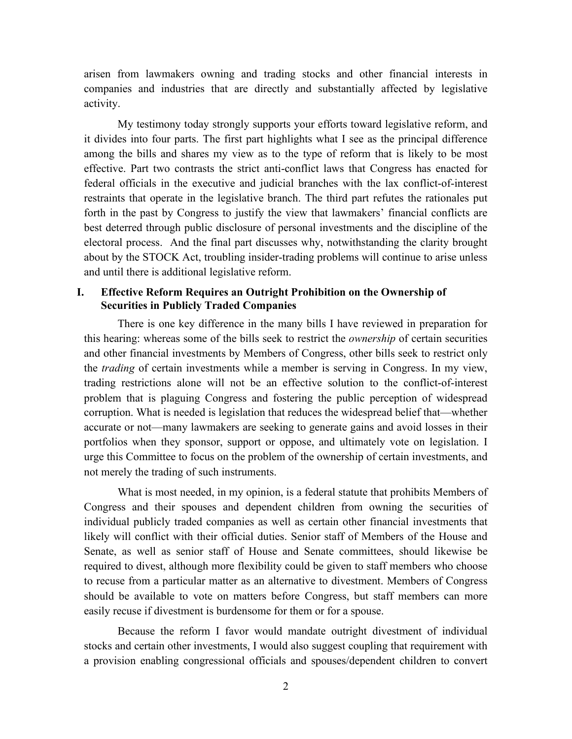arisen from lawmakers owning and trading stocks and other financial interests in companies and industries that are directly and substantially affected by legislative activity.

My testimony today strongly supports your efforts toward legislative reform, and it divides into four parts. The first part highlights what I see as the principal difference among the bills and shares my view as to the type of reform that is likely to be most effective. Part two contrasts the strict anti-conflict laws that Congress has enacted for federal officials in the executive and judicial branches with the lax conflict-of-interest restraints that operate in the legislative branch. The third part refutes the rationales put forth in the past by Congress to justify the view that lawmakers' financial conflicts are best deterred through public disclosure of personal investments and the discipline of the electoral process. And the final part discusses why, notwithstanding the clarity brought about by the STOCK Act, troubling insider-trading problems will continue to arise unless and until there is additional legislative reform.

## **I. Effective Reform Requires an Outright Prohibition on the Ownership of Securities in Publicly Traded Companies**

There is one key difference in the many bills I have reviewed in preparation for this hearing: whereas some of the bills seek to restrict the *ownership* of certain securities and other financial investments by Members of Congress, other bills seek to restrict only the *trading* of certain investments while a member is serving in Congress. In my view, trading restrictions alone will not be an effective solution to the conflict-of-interest problem that is plaguing Congress and fostering the public perception of widespread corruption. What is needed is legislation that reduces the widespread belief that—whether accurate or not—many lawmakers are seeking to generate gains and avoid losses in their portfolios when they sponsor, support or oppose, and ultimately vote on legislation. I urge this Committee to focus on the problem of the ownership of certain investments, and not merely the trading of such instruments.

What is most needed, in my opinion, is a federal statute that prohibits Members of Congress and their spouses and dependent children from owning the securities of individual publicly traded companies as well as certain other financial investments that likely will conflict with their official duties. Senior staff of Members of the House and Senate, as well as senior staff of House and Senate committees, should likewise be required to divest, although more flexibility could be given to staff members who choose to recuse from a particular matter as an alternative to divestment. Members of Congress should be available to vote on matters before Congress, but staff members can more easily recuse if divestment is burdensome for them or for a spouse.

Because the reform I favor would mandate outright divestment of individual stocks and certain other investments, I would also suggest coupling that requirement with a provision enabling congressional officials and spouses/dependent children to convert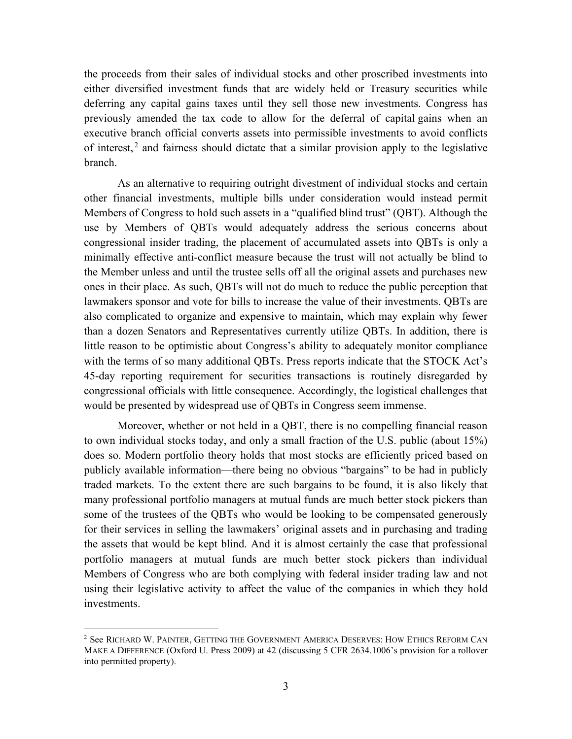the proceeds from their sales of individual stocks and other proscribed investments into either diversified investment funds that are widely held or Treasury securities while deferring any capital gains taxes until they sell those new investments. Congress has previously amended the tax code to allow for the deferral of capital gains when an executive branch official converts assets into permissible investments to avoid conflicts of interest,<sup>2</sup> and fairness should dictate that a similar provision apply to the legislative branch.

As an alternative to requiring outright divestment of individual stocks and certain other financial investments, multiple bills under consideration would instead permit Members of Congress to hold such assets in a "qualified blind trust" (QBT). Although the use by Members of QBTs would adequately address the serious concerns about congressional insider trading, the placement of accumulated assets into QBTs is only a minimally effective anti-conflict measure because the trust will not actually be blind to the Member unless and until the trustee sells off all the original assets and purchases new ones in their place. As such, QBTs will not do much to reduce the public perception that lawmakers sponsor and vote for bills to increase the value of their investments. QBTs are also complicated to organize and expensive to maintain, which may explain why fewer than a dozen Senators and Representatives currently utilize QBTs. In addition, there is little reason to be optimistic about Congress's ability to adequately monitor compliance with the terms of so many additional QBTs. Press reports indicate that the STOCK Act's 45-day reporting requirement for securities transactions is routinely disregarded by congressional officials with little consequence. Accordingly, the logistical challenges that would be presented by widespread use of QBTs in Congress seem immense.

Moreover, whether or not held in a QBT, there is no compelling financial reason to own individual stocks today, and only a small fraction of the U.S. public (about 15%) does so. Modern portfolio theory holds that most stocks are efficiently priced based on publicly available information—there being no obvious "bargains" to be had in publicly traded markets. To the extent there are such bargains to be found, it is also likely that many professional portfolio managers at mutual funds are much better stock pickers than some of the trustees of the QBTs who would be looking to be compensated generously for their services in selling the lawmakers' original assets and in purchasing and trading the assets that would be kept blind. And it is almost certainly the case that professional portfolio managers at mutual funds are much better stock pickers than individual Members of Congress who are both complying with federal insider trading law and not using their legislative activity to affect the value of the companies in which they hold investments.

<sup>&</sup>lt;sup>2</sup> See RICHARD W. PAINTER, GETTING THE GOVERNMENT AMERICA DESERVES: HOW ETHICS REFORM CAN MAKE A DIFFERENCE (Oxford U. Press 2009) at 42 (discussing 5 CFR 2634.1006's provision for a rollover into permitted property).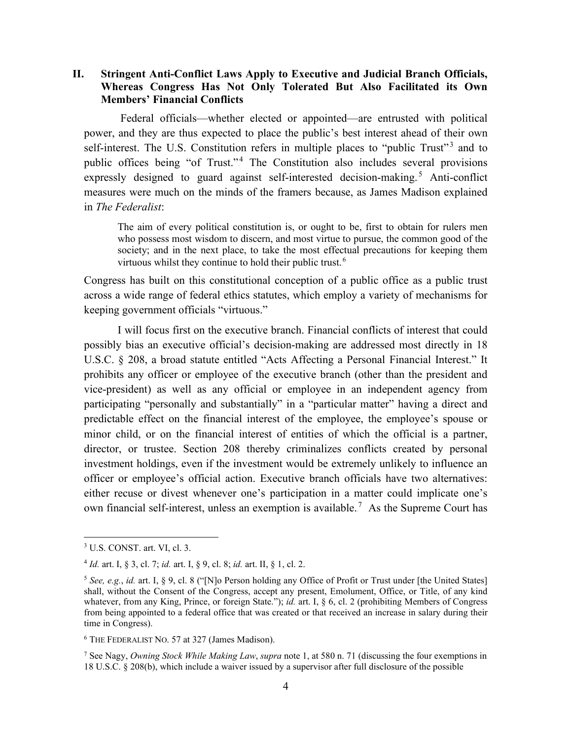### **II. Stringent Anti-Conflict Laws Apply to Executive and Judicial Branch Officials, Whereas Congress Has Not Only Tolerated But Also Facilitated its Own Members' Financial Conflicts**

Federal officials—whether elected or appointed—are entrusted with political power, and they are thus expected to place the public's best interest ahead of their own self-interest. The U.S. Constitution refers in multiple places to "public Trust".<sup>3</sup> and to public offices being "of Trust."<sup>4</sup> The Constitution also includes several provisions expressly designed to guard against self-interested decision-making.<sup>5</sup> Anti-conflict measures were much on the minds of the framers because, as James Madison explained in *The Federalist*:

The aim of every political constitution is, or ought to be, first to obtain for rulers men who possess most wisdom to discern, and most virtue to pursue, the common good of the society; and in the next place, to take the most effectual precautions for keeping them virtuous whilst they continue to hold their public trust.<sup>6</sup>

Congress has built on this constitutional conception of a public office as a public trust across a wide range of federal ethics statutes, which employ a variety of mechanisms for keeping government officials "virtuous."

I will focus first on the executive branch. Financial conflicts of interest that could possibly bias an executive official's decision-making are addressed most directly in 18 U.S.C. § 208, a broad statute entitled "Acts Affecting a Personal Financial Interest." It prohibits any officer or employee of the executive branch (other than the president and vice-president) as well as any official or employee in an independent agency from participating "personally and substantially" in a "particular matter" having a direct and predictable effect on the financial interest of the employee, the employee's spouse or minor child, or on the financial interest of entities of which the official is a partner, director, or trustee. Section 208 thereby criminalizes conflicts created by personal investment holdings, even if the investment would be extremely unlikely to influence an officer or employee's official action. Executive branch officials have two alternatives: either recuse or divest whenever one's participation in a matter could implicate one's own financial self-interest, unless an exemption is available.<sup>7</sup> As the Supreme Court has

<sup>3</sup> U.S. CONST. art. VI, cl. 3.

<sup>4</sup> *Id.* art. I, § 3, cl. 7; *id.* art. I, § 9, cl. 8; *id.* art. II, § 1, cl. 2.

<sup>5</sup> *See, e.g.*, *id.* art. I, § 9, cl. 8 ("[N]o Person holding any Office of Profit or Trust under [the United States] shall, without the Consent of the Congress, accept any present, Emolument, Office, or Title, of any kind whatever, from any King, Prince, or foreign State."); *id.* art. I, § 6, cl. 2 (prohibiting Members of Congress from being appointed to a federal office that was created or that received an increase in salary during their time in Congress).

<sup>6</sup> THE FEDERALIST NO. 57 at 327 (James Madison).

<sup>7</sup> See Nagy, *Owning Stock While Making Law*, *supra* note 1, at 580 n. 71 (discussing the four exemptions in 18 U.S.C. § 208(b), which include a waiver issued by a supervisor after full disclosure of the possible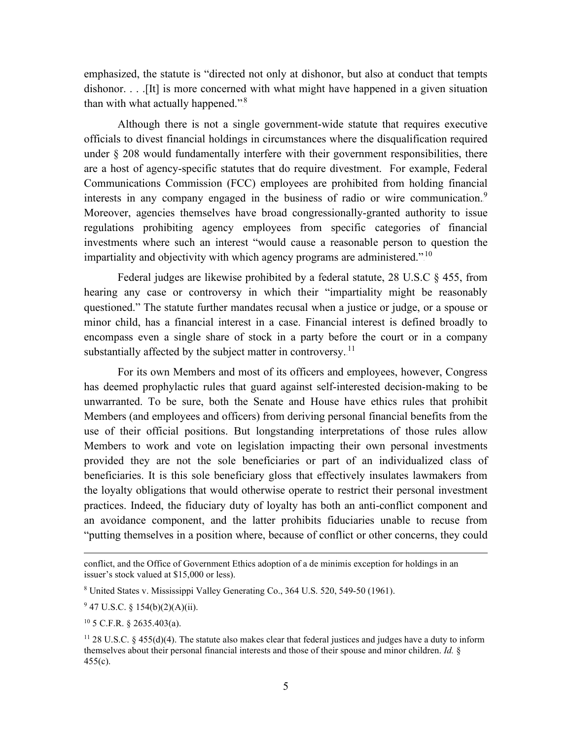emphasized, the statute is "directed not only at dishonor, but also at conduct that tempts dishonor. . . . . [It] is more concerned with what might have happened in a given situation than with what actually happened."<sup>8</sup>

Although there is not a single government-wide statute that requires executive officials to divest financial holdings in circumstances where the disqualification required under § 208 would fundamentally interfere with their government responsibilities, there are a host of agency-specific statutes that do require divestment. For example, Federal Communications Commission (FCC) employees are prohibited from holding financial interests in any company engaged in the business of radio or wire communication.<sup>9</sup> Moreover, agencies themselves have broad congressionally-granted authority to issue regulations prohibiting agency employees from specific categories of financial investments where such an interest "would cause a reasonable person to question the impartiality and objectivity with which agency programs are administered."<sup>10</sup>

Federal judges are likewise prohibited by a federal statute, 28 U.S.C § 455, from hearing any case or controversy in which their "impartiality might be reasonably questioned." The statute further mandates recusal when a justice or judge, or a spouse or minor child, has a financial interest in a case. Financial interest is defined broadly to encompass even a single share of stock in a party before the court or in a company substantially affected by the subject matter in controversy.<sup>11</sup>

For its own Members and most of its officers and employees, however, Congress has deemed prophylactic rules that guard against self-interested decision-making to be unwarranted. To be sure, both the Senate and House have ethics rules that prohibit Members (and employees and officers) from deriving personal financial benefits from the use of their official positions. But longstanding interpretations of those rules allow Members to work and vote on legislation impacting their own personal investments provided they are not the sole beneficiaries or part of an individualized class of beneficiaries. It is this sole beneficiary gloss that effectively insulates lawmakers from the loyalty obligations that would otherwise operate to restrict their personal investment practices. Indeed, the fiduciary duty of loyalty has both an anti-conflict component and an avoidance component, and the latter prohibits fiduciaries unable to recuse from "putting themselves in a position where, because of conflict or other concerns, they could

 $947$  U.S.C. § 154(b)(2)(A)(ii).

 $10$  5 C.F.R. § 2635.403(a).

conflict, and the Office of Government Ethics adoption of a de minimis exception for holdings in an issuer's stock valued at \$15,000 or less).

<sup>8</sup> United States v. Mississippi Valley Generating Co., 364 U.S. 520, 549-50 (1961).

<sup>&</sup>lt;sup>11</sup> 28 U.S.C. § 455(d)(4). The statute also makes clear that federal justices and judges have a duty to inform themselves about their personal financial interests and those of their spouse and minor children. *Id.* §  $455(c)$ .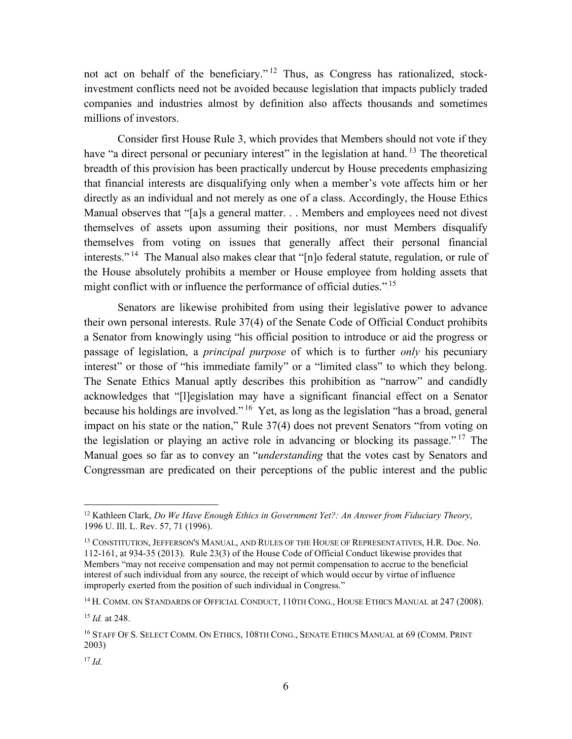not act on behalf of the beneficiary."<sup>12</sup> Thus, as Congress has rationalized, stockinvestment conflicts need not be avoided because legislation that impacts publicly traded companies and industries almost by definition also affects thousands and sometimes millions of investors.

Consider first House Rule 3, which provides that Members should not vote if they have "a direct personal or pecuniary interest" in the legislation at hand.<sup>13</sup> The theoretical breadth of this provision has been practically undercut by House precedents emphasizing that financial interests are disqualifying only when a member's vote affects him or her directly as an individual and not merely as one of a class. Accordingly, the House Ethics Manual observes that "[a]s a general matter. . . Members and employees need not divest themselves of assets upon assuming their positions, nor must Members disqualify themselves from voting on issues that generally affect their personal financial interests.".<sup>14</sup> The Manual also makes clear that "[n]o federal statute, regulation, or rule of the House absolutely prohibits a member or House employee from holding assets that might conflict with or influence the performance of official duties.".<sup>15</sup>

Senators are likewise prohibited from using their legislative power to advance their own personal interests. Rule 37(4) of the Senate Code of Official Conduct prohibits a Senator from knowingly using "his official position to introduce or aid the progress or passage of legislation, a *principal purpose* of which is to further *only* his pecuniary interest" or those of "his immediate family" or a "limited class" to which they belong. The Senate Ethics Manual aptly describes this prohibition as "narrow" and candidly acknowledges that "[l]egislation may have a significant financial effect on a Senator because his holdings are involved.".<sup>16</sup> Yet, as long as the legislation "has a broad, general impact on his state or the nation," Rule 37(4) does not prevent Senators "from voting on the legislation or playing an active role in advancing or blocking its passage."<sup>17</sup> The Manual goes so far as to convey an "*understanding* that the votes cast by Senators and Congressman are predicated on their perceptions of the public interest and the public

<sup>12</sup> Kathleen Clark, *Do We Have Enough Ethics in Government Yet?: An Answer from Fiduciary Theory*, 1996 U. Ill. L. Rev. 57, 71 (1996).

<sup>13</sup> CONSTITUTION, JEFFERSON'S MANUAL, AND RULES OF THE HOUSE OF REPRESENTATIVES, H.R. Doc. No. 112-161, at 934-35 (2013). Rule 23(3) of the House Code of Official Conduct likewise provides that Members "may not receive compensation and may not permit compensation to accrue to the beneficial interest of such individual from any source, the receipt of which would occur by virtue of influence improperly exerted from the position of such individual in Congress."

<sup>&</sup>lt;sup>14</sup> H. COMM. ON STANDARDS OF OFFICIAL CONDUCT, 110TH CONG., HOUSE ETHICS MANUAL at 247 (2008).

<sup>15</sup> *Id.* at 248.

<sup>&</sup>lt;sup>16</sup> STAFF OF S. SELECT COMM. ON ETHICS, 108TH CONG., SENATE ETHICS MANUAL at 69 (COMM. PRINT 2003)

<sup>17</sup> *Id.*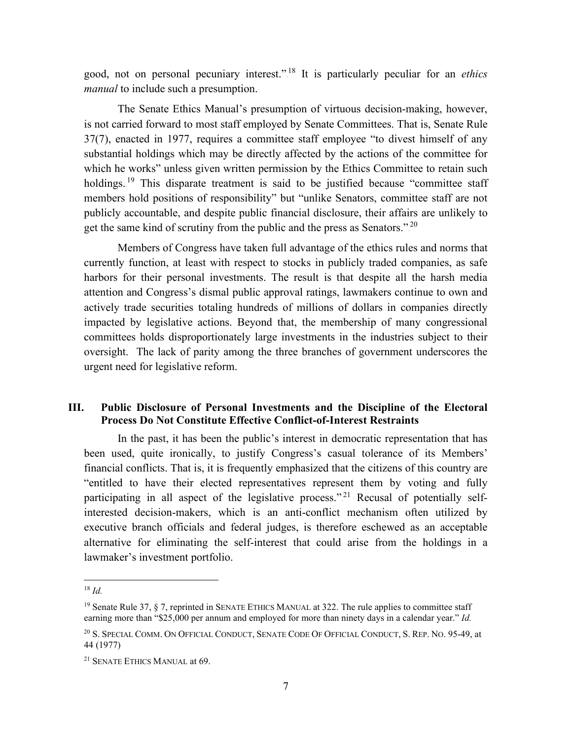good, not on personal pecuniary interest.".<sup>18</sup> It is particularly peculiar for an *ethics manual* to include such a presumption.

The Senate Ethics Manual's presumption of virtuous decision-making, however, is not carried forward to most staff employed by Senate Committees. That is, Senate Rule 37(7), enacted in 1977, requires a committee staff employee "to divest himself of any substantial holdings which may be directly affected by the actions of the committee for which he works" unless given written permission by the Ethics Committee to retain such holdings.<sup>19</sup> This disparate treatment is said to be justified because "committee staff members hold positions of responsibility" but "unlike Senators, committee staff are not publicly accountable, and despite public financial disclosure, their affairs are unlikely to get the same kind of scrutiny from the public and the press as Senators.".<sup>20</sup>

Members of Congress have taken full advantage of the ethics rules and norms that currently function, at least with respect to stocks in publicly traded companies, as safe harbors for their personal investments. The result is that despite all the harsh media attention and Congress's dismal public approval ratings, lawmakers continue to own and actively trade securities totaling hundreds of millions of dollars in companies directly impacted by legislative actions. Beyond that, the membership of many congressional committees holds disproportionately large investments in the industries subject to their oversight. The lack of parity among the three branches of government underscores the urgent need for legislative reform.

## **III. Public Disclosure of Personal Investments and the Discipline of the Electoral Process Do Not Constitute Effective Conflict-of-Interest Restraints**

In the past, it has been the public's interest in democratic representation that has been used, quite ironically, to justify Congress's casual tolerance of its Members' financial conflicts. That is, it is frequently emphasized that the citizens of this country are "entitled to have their elected representatives represent them by voting and fully participating in all aspect of the legislative process."<sup>21</sup> Recusal of potentially selfinterested decision-makers, which is an anti-conflict mechanism often utilized by executive branch officials and federal judges, is therefore eschewed as an acceptable alternative for eliminating the self-interest that could arise from the holdings in a lawmaker's investment portfolio.

 $18$  *Id.* 

<sup>&</sup>lt;sup>19</sup> Senate Rule 37, § 7, reprinted in SENATE ETHICS MANUAL at 322. The rule applies to committee staff earning more than "\$25,000 per annum and employed for more than ninety days in a calendar year." *Id.*

<sup>20</sup> S. SPECIAL COMM. ON OFFICIAL CONDUCT, SENATE CODE OF OFFICIAL CONDUCT, S. REP. NO. 95-49, at 44 (1977)

<sup>21</sup> SENATE ETHICS MANUAL at 69.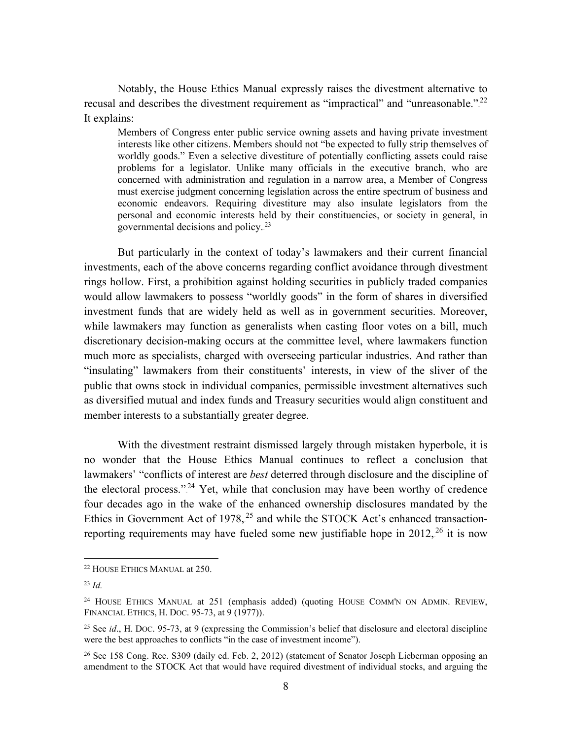Notably, the House Ethics Manual expressly raises the divestment alternative to recusal and describes the divestment requirement as "impractical" and "unreasonable." $^{22}$ It explains:

Members of Congress enter public service owning assets and having private investment interests like other citizens. Members should not "be expected to fully strip themselves of worldly goods." Even a selective divestiture of potentially conflicting assets could raise problems for a legislator. Unlike many officials in the executive branch, who are concerned with administration and regulation in a narrow area, a Member of Congress must exercise judgment concerning legislation across the entire spectrum of business and economic endeavors. Requiring divestiture may also insulate legislators from the personal and economic interests held by their constituencies, or society in general, in governmental decisions and policy.<sup>23</sup>

But particularly in the context of today's lawmakers and their current financial investments, each of the above concerns regarding conflict avoidance through divestment rings hollow. First, a prohibition against holding securities in publicly traded companies would allow lawmakers to possess "worldly goods" in the form of shares in diversified investment funds that are widely held as well as in government securities. Moreover, while lawmakers may function as generalists when casting floor votes on a bill, much discretionary decision-making occurs at the committee level, where lawmakers function much more as specialists, charged with overseeing particular industries. And rather than "insulating" lawmakers from their constituents' interests, in view of the sliver of the public that owns stock in individual companies, permissible investment alternatives such as diversified mutual and index funds and Treasury securities would align constituent and member interests to a substantially greater degree.

With the divestment restraint dismissed largely through mistaken hyperbole, it is no wonder that the House Ethics Manual continues to reflect a conclusion that lawmakers' "conflicts of interest are *best* deterred through disclosure and the discipline of the electoral process."<sup>24</sup> Yet, while that conclusion may have been worthy of credence four decades ago in the wake of the enhanced ownership disclosures mandated by the Ethics in Government Act of  $1978$ ,  $^{25}$  and while the STOCK Act's enhanced transactionreporting requirements may have fueled some new justifiable hope in  $2012$ ,  $26$  it is now

<sup>22</sup> HOUSE ETHICS MANUAL at 250.

<sup>23</sup> *Id.*

<sup>&</sup>lt;sup>24</sup> HOUSE ETHICS MANUAL at 251 (emphasis added) (quoting HOUSE COMM'N ON ADMIN. REVIEW, FINANCIAL ETHICS, H. DOC. 95-73, at 9 (1977)).

<sup>25</sup> See *id*., H. DOC. 95-73, at 9 (expressing the Commission's belief that disclosure and electoral discipline were the best approaches to conflicts "in the case of investment income").

<sup>&</sup>lt;sup>26</sup> See 158 Cong. Rec. S309 (daily ed. Feb. 2, 2012) (statement of Senator Joseph Lieberman opposing an amendment to the STOCK Act that would have required divestment of individual stocks, and arguing the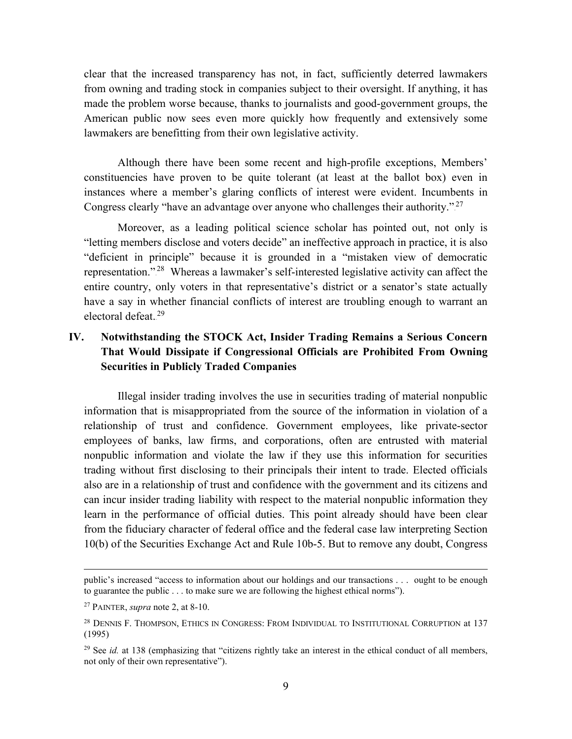clear that the increased transparency has not, in fact, sufficiently deterred lawmakers from owning and trading stock in companies subject to their oversight. If anything, it has made the problem worse because, thanks to journalists and good-government groups, the American public now sees even more quickly how frequently and extensively some lawmakers are benefitting from their own legislative activity.

Although there have been some recent and high-profile exceptions, Members' constituencies have proven to be quite tolerant (at least at the ballot box) even in instances where a member's glaring conflicts of interest were evident. Incumbents in Congress clearly "have an advantage over anyone who challenges their authority."<sup>27</sup>

Moreover, as a leading political science scholar has pointed out, not only is "letting members disclose and voters decide" an ineffective approach in practice, it is also "deficient in principle" because it is grounded in a "mistaken view of democratic representation."<sup>28</sup> Whereas a lawmaker's self-interested legislative activity can affect the entire country, only voters in that representative's district or a senator's state actually have a say in whether financial conflicts of interest are troubling enough to warrant an electoral defeat.<sup>29</sup>

# **IV. Notwithstanding the STOCK Act, Insider Trading Remains a Serious Concern That Would Dissipate if Congressional Officials are Prohibited From Owning Securities in Publicly Traded Companies**

Illegal insider trading involves the use in securities trading of material nonpublic information that is misappropriated from the source of the information in violation of a relationship of trust and confidence. Government employees, like private-sector employees of banks, law firms, and corporations, often are entrusted with material nonpublic information and violate the law if they use this information for securities trading without first disclosing to their principals their intent to trade. Elected officials also are in a relationship of trust and confidence with the government and its citizens and can incur insider trading liability with respect to the material nonpublic information they learn in the performance of official duties. This point already should have been clear from the fiduciary character of federal office and the federal case law interpreting Section 10(b) of the Securities Exchange Act and Rule 10b-5. But to remove any doubt, Congress

public's increased "access to information about our holdings and our transactions . . . ought to be enough to guarantee the public . . . to make sure we are following the highest ethical norms").

<sup>27</sup> PAINTER, *supra* note 2, at 8-10.

<sup>&</sup>lt;sup>28</sup> DENNIS F. THOMPSON, ETHICS IN CONGRESS: FROM INDIVIDUAL TO INSTITUTIONAL CORRUPTION at 137 (1995)

<sup>&</sup>lt;sup>29</sup> See *id.* at 138 (emphasizing that "citizens rightly take an interest in the ethical conduct of all members, not only of their own representative").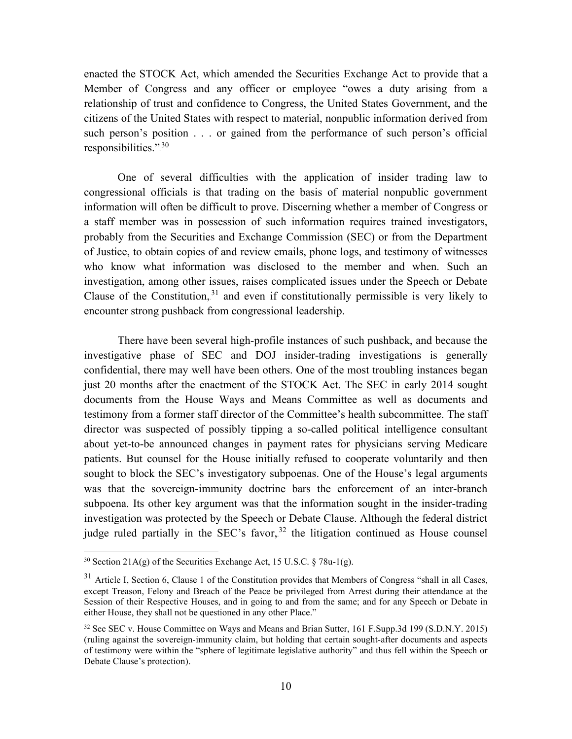enacted the STOCK Act, which amended the Securities Exchange Act to provide that a Member of Congress and any officer or employee "owes a duty arising from a relationship of trust and confidence to Congress, the United States Government, and the citizens of the United States with respect to material, nonpublic information derived from such person's position . . . or gained from the performance of such person's official responsibilities.".<sup>30</sup>

One of several difficulties with the application of insider trading law to congressional officials is that trading on the basis of material nonpublic government information will often be difficult to prove. Discerning whether a member of Congress or a staff member was in possession of such information requires trained investigators, probably from the Securities and Exchange Commission (SEC) or from the Department of Justice, to obtain copies of and review emails, phone logs, and testimony of witnesses who know what information was disclosed to the member and when. Such an investigation, among other issues, raises complicated issues under the Speech or Debate Clause of the Constitution,  $31$  and even if constitutionally permissible is very likely to encounter strong pushback from congressional leadership.

There have been several high-profile instances of such pushback, and because the investigative phase of SEC and DOJ insider-trading investigations is generally confidential, there may well have been others. One of the most troubling instances began just 20 months after the enactment of the STOCK Act. The SEC in early 2014 sought documents from the House Ways and Means Committee as well as documents and testimony from a former staff director of the Committee's health subcommittee. The staff director was suspected of possibly tipping a so-called political intelligence consultant about yet-to-be announced changes in payment rates for physicians serving Medicare patients. But counsel for the House initially refused to cooperate voluntarily and then sought to block the SEC's investigatory subpoenas. One of the House's legal arguments was that the sovereign-immunity doctrine bars the enforcement of an inter-branch subpoena. Its other key argument was that the information sought in the insider-trading investigation was protected by the Speech or Debate Clause. Although the federal district judge ruled partially in the SEC's favor,  $32$  the litigation continued as House counsel

<sup>&</sup>lt;sup>30</sup> Section 21A(g) of the Securities Exchange Act, 15 U.S.C.  $\frac{8}{30}$  78u-1(g).

 $31$  Article I, Section 6, Clause 1 of the Constitution provides that Members of Congress "shall in all Cases, except Treason, Felony and Breach of the Peace be privileged from Arrest during their attendance at the Session of their Respective Houses, and in going to and from the same; and for any Speech or Debate in either House, they shall not be questioned in any other Place."

<sup>&</sup>lt;sup>32</sup> See SEC v. House Committee on Ways and Means and Brian Sutter, 161 F.Supp.3d 199 (S.D.N.Y. 2015) (ruling against the sovereign-immunity claim, but holding that certain sought-after documents and aspects of testimony were within the "sphere of legitimate legislative authority" and thus fell within the Speech or Debate Clause's protection).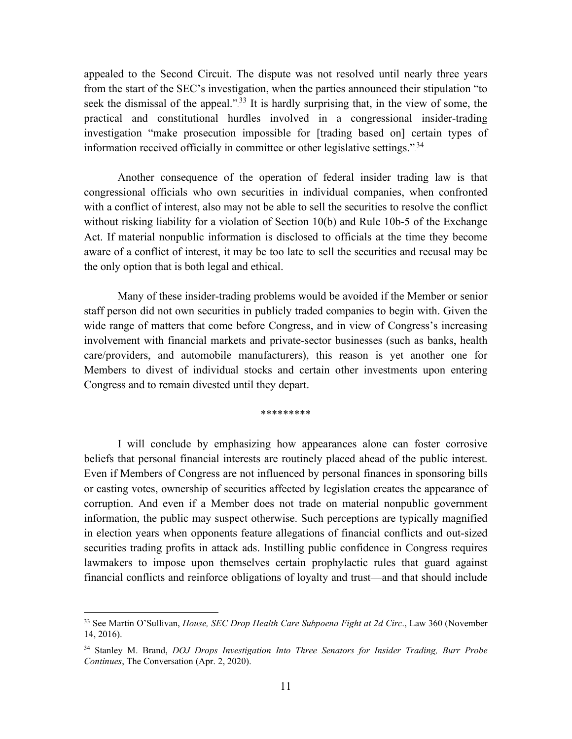appealed to the Second Circuit. The dispute was not resolved until nearly three years from the start of the SEC's investigation, when the parties announced their stipulation "to seek the dismissal of the appeal."<sup>33</sup> It is hardly surprising that, in the view of some, the practical and constitutional hurdles involved in a congressional insider-trading investigation "make prosecution impossible for [trading based on] certain types of information received officially in committee or other legislative settings.".<sup>34</sup>

Another consequence of the operation of federal insider trading law is that congressional officials who own securities in individual companies, when confronted with a conflict of interest, also may not be able to sell the securities to resolve the conflict without risking liability for a violation of Section 10(b) and Rule 10b-5 of the Exchange Act. If material nonpublic information is disclosed to officials at the time they become aware of a conflict of interest, it may be too late to sell the securities and recusal may be the only option that is both legal and ethical.

Many of these insider-trading problems would be avoided if the Member or senior staff person did not own securities in publicly traded companies to begin with. Given the wide range of matters that come before Congress, and in view of Congress's increasing involvement with financial markets and private-sector businesses (such as banks, health care/providers, and automobile manufacturers), this reason is yet another one for Members to divest of individual stocks and certain other investments upon entering Congress and to remain divested until they depart.

#### \*\*\*\*\*\*\*\*\*

I will conclude by emphasizing how appearances alone can foster corrosive beliefs that personal financial interests are routinely placed ahead of the public interest. Even if Members of Congress are not influenced by personal finances in sponsoring bills or casting votes, ownership of securities affected by legislation creates the appearance of corruption. And even if a Member does not trade on material nonpublic government information, the public may suspect otherwise. Such perceptions are typically magnified in election years when opponents feature allegations of financial conflicts and out-sized securities trading profits in attack ads. Instilling public confidence in Congress requires lawmakers to impose upon themselves certain prophylactic rules that guard against financial conflicts and reinforce obligations of loyalty and trust—and that should include

<sup>33</sup> See Martin O'Sullivan, *House, SEC Drop Health Care Subpoena Fight at 2d Circ*., Law 360 (November 14, 2016).

<sup>34</sup> Stanley M. Brand, *DOJ Drops Investigation Into Three Senators for Insider Trading, Burr Probe Continues*, The Conversation (Apr. 2, 2020).